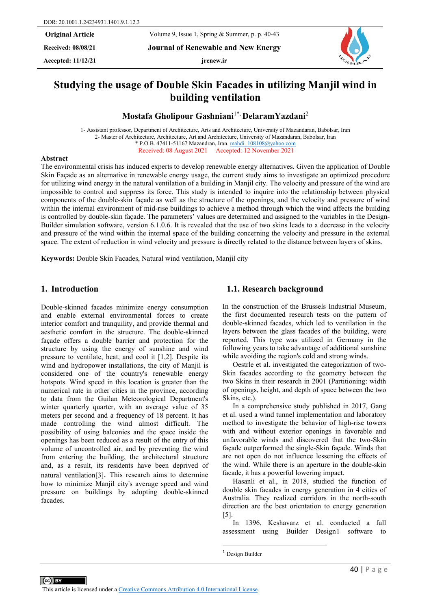**Received: 08/08/21 Journal of Renewable and New Energy**

Accepted:  $11/12/21$  **jrenew.ir** 



# **Studying the usage of Double Skin Facades in utilizing Manjil wind in building ventilation**

**Mostafa Gholipour Gashniani**1\*, **DelaramYazdani**<sup>2</sup>

1- Assistant professor, Department of Architecture, Arts and Architecture, University of Mazandaran, Babolsar, Iran 2- Master of Architecture, Architecture, Art and Architecture, University of Mazandaran, Babolsar, Iran \* P.O.B. 47411-51167 Mazandran, Iran. [mahdi\\_108108@yahoo.com](mailto:mahdi_108108@yahoo.com) Received: 08 August 2021 Accepted: 12 November 2021

#### **Abstract**

The environmental crisis has induced experts to develop renewable energy alternatives. Given the application of Double Skin Façade as an alternative in renewable energy usage, the current study aims to investigate an optimized procedure for utilizing wind energy in the natural ventilation of a building in Manjil city. The velocity and pressure of the wind are impossible to control and suppress its force. This study is intended to inquire into the relationship between physical components of the double-skin façade as well as the structure of the openings, and the velocity and pressure of wind within the internal environment of mid-rise buildings to achieve a method through which the wind affects the building is controlled by double-skin façade. The parameters' values are determined and assigned to the variables in the Design-Builder simulation software, version 6.1.0.6. It is revealed that the use of two skins leads to a decrease in the velocity and pressure of the wind within the internal space of the building concerning the velocity and pressure in the external space. The extent of reduction in wind velocity and pressure is directly related to the distance between layers of skins.

**Keywords:** Double Skin Facades, Natural wind ventilation, Manjil city

#### **1. Introduction**

Double-skinned facades minimize energy consumption and enable external environmental forces to create interior comfort and tranquility, and provide thermal and aesthetic comfort in the structure. The double-skinned façade offers a double barrier and protection for the structure by using the energy of sunshine and wind pressure to ventilate, heat, and cool it [1,2]. Despite its wind and hydropower installations, the city of Manjil is considered one of the country's renewable energy hotspots. Wind speed in this location is greater than the numerical rate in other cities in the province, according to data from the Guilan Meteorological Department's winter quarterly quarter, with an average value of 35 meters per second and a frequency of 18 percent. It has made controlling the wind almost difficult. The possibility of using balconies and the space inside the openings has been reduced as a result of the entry of this volume of uncontrolled air, and by preventing the wind from entering the building, the architectural structure and, as a result, its residents have been deprived of natural ventilation[3]. This research aims to determine how to minimize Manjil city's average speed and wind pressure on buildings by adopting double-skinned facades.

#### **1.1. Research background**

In the construction of the Brussels Industrial Museum, the first documented research tests on the pattern of double-skinned facades, which led to ventilation in the layers between the glass facades of the building, were reported. This type was utilized in Germany in the following years to take advantage of additional sunshine while avoiding the region's cold and strong winds.

Oestrle et al. investigated the categorization of two-Skin facades according to the geometry between the two Skins in their research in 2001 (Partitioning: width of openings, height, and depth of space between the two Skins, etc.).

In a comprehensive study published in 2017, Gang et al. used a wind tunnel implementation and laboratory method to investigate the behavior of high-rise towers with and without exterior openings in favorable and unfavorable winds and discovered that the two-Skin façade outperformed the single-Skin façade. Winds that are not open do not influence lessening the effects of the wind. While there is an aperture in the double-skin facade, it has a powerful lowering impact.

Hasanli et al., in 2018, studied the function of double skin facades in energy generation in 4 cities of Australia. They realized corridors in the north-south direction are the best orientation to energy generation  $\lceil 5 \rceil$ .

In 1396, Keshavarz et al. conducted a full assessment using Builder Design[1](#page-0-0) software to

<span id="page-0-0"></span><sup>&</sup>lt;sup>1</sup> Design Builder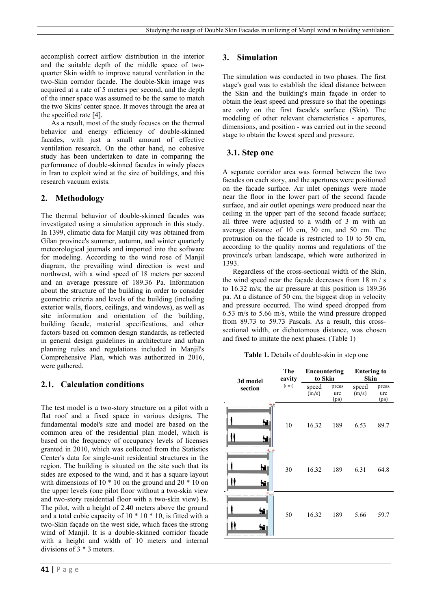accomplish correct airflow distribution in the interior and the suitable depth of the middle space of twoquarter Skin width to improve natural ventilation in the two-Skin corridor facade. The double-Skin image was acquired at a rate of 5 meters per second, and the depth of the inner space was assumed to be the same to match the two Skins' center space. It moves through the area at the specified rate [4].

As a result, most of the study focuses on the thermal behavior and energy efficiency of double-skinned facades, with just a small amount of effective ventilation research. On the other hand, no cohesive study has been undertaken to date in comparing the performance of double-skinned facades in windy places in Iran to exploit wind at the size of buildings, and this research vacuum exists.

### **2. Methodology**

The thermal behavior of double-skinned facades was investigated using a simulation approach in this study. In 1399, climatic data for Manjil city was obtained from Gilan province's summer, autumn, and winter quarterly meteorological journals and imported into the software for modeling. According to the wind rose of Manjil diagram, the prevailing wind direction is west and northwest, with a wind speed of 18 meters per second and an average pressure of 189.36 Pa. Information about the structure of the building in order to consider geometric criteria and levels of the building (including exterior walls, floors, ceilings, and windows), as well as site information and orientation of the building, building facade, material specifications, and other factors based on common design standards, as reflected in general design guidelines in architecture and urban planning rules and regulations included in Manjil's Comprehensive Plan, which was authorized in 2016, were gathered.

#### **2.1. Calculation conditions**

The test model is a two-story structure on a pilot with a flat roof and a fixed space in various designs. The fundamental model's size and model are based on the common area of the residential plan model, which is based on the frequency of occupancy levels of licenses granted in 2010, which was collected from the Statistics Center's data for single-unit residential structures in the region. The building is situated on the site such that its sides are exposed to the wind, and it has a square layout with dimensions of 10  $*$  10 on the ground and 20  $*$  10 on the upper levels (one pilot floor without a two-skin view and two-story residential floor with a two-skin view) Is. The pilot, with a height of 2.40 meters above the ground and a total cubic capacity of  $10 * 10 * 10$ , is fitted with a two-Skin façade on the west side, which faces the strong wind of Manjil. It is a double-skinned corridor facade with a height and width of 10 meters and internal divisions of 3 \* 3 meters.

#### **3. Simulation**

The simulation was conducted in two phases. The first stage's goal was to establish the ideal distance between the Skin and the building's main façade in order to obtain the least speed and pressure so that the openings are only on the first facade's surface (Skin). The modeling of other relevant characteristics - apertures, dimensions, and position - was carried out in the second stage to obtain the lowest speed and pressure.

### **3.1. Step one**

A separate corridor area was formed between the two facades on each story, and the apertures were positioned on the facade surface. Air inlet openings were made near the floor in the lower part of the second facade surface, and air outlet openings were produced near the ceiling in the upper part of the second facade surface; all three were adjusted to a width of 3 m with an average distance of 10 cm, 30 cm, and 50 cm. The protrusion on the facade is restricted to 10 to 50 cm, according to the quality norms and regulations of the province's urban landscape, which were authorized in 1393.

Regardless of the cross-sectional width of the Skin, the wind speed near the façade decreases from 18 m / s to 16.32 m/s; the air pressure at this position is 189.36 pa. At a distance of  $50 \text{ cm}$ , the biggest drop in velocity and pressure occurred. The wind speed dropped from 6.53 m/s to 5.66 m/s, while the wind pressure dropped from 89.73 to 59.73 Pascals. As a result, this crosssectional width, or dichotomous distance, was chosen and fixed to imitate the next phases. (Table 1)

**Table 1.** Details of double-skin in step one

| 3d model                                         | The<br>cavity | Encountering<br>to Skin |                      | <b>Entering to</b><br><b>Skin</b> |                      |
|--------------------------------------------------|---------------|-------------------------|----------------------|-----------------------------------|----------------------|
| section                                          | (cm)          | speed<br>(m/s)          | press<br>ure<br>(pa) | speed<br>(m/s)                    | press<br>ure<br>(pa) |
|                                                  | 10            | 16.32                   | 189                  | 6.53                              | 89.7                 |
| $\rightarrow$<br>ht i<br>單                       | 30            | 16.32                   | 189                  | 6.31                              | 64.8                 |
| $\rightarrow$ <sub>50 cm</sub> <sup>4</sup><br>۳ | 50            | 16.32                   | 189                  | 5.66                              | 59.7                 |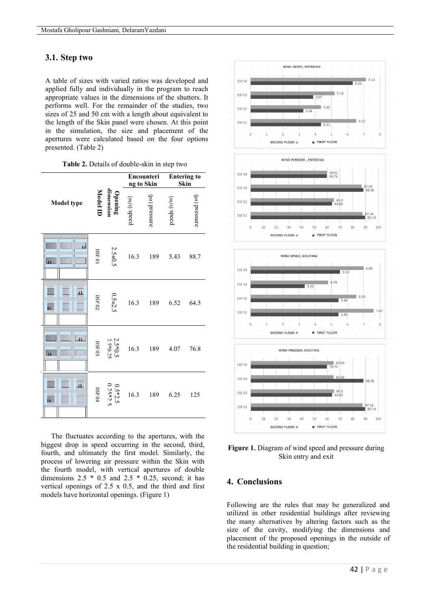#### **3.1. Step two**

A table of sizes with varied ratios was developed and applied fully and individually in the program to reach appropriate values in the dimensions of the shutters. It performs well. For the remainder of the studies, two sizes of 25 and 50 cm with a length about equivalent to the length of the Skin panel were chosen. At this point in the simulation, the size and placement of the apertures were calculated based on the four options presented. (Table 2)

| Table 2. Details of double-skin in step two |  |  |  |  |
|---------------------------------------------|--|--|--|--|
|                                             |  |  |  |  |

|                                                    | dimension<br>Model ID<br>Opening |                         | Encounteri<br>ng to Skin |               | <b>Entering to</b><br>Skin |               |
|----------------------------------------------------|----------------------------------|-------------------------|--------------------------|---------------|----------------------------|---------------|
| <b>Model type</b>                                  |                                  |                         | (m/s) speed              | (ba) pressure | (m/s) speed                | (ba) pressure |
| $\mathbf{H}$                                       | $0.5F\ 0.1$                      | 2.5*0.5                 | 16.3                     | 189           | 5.43                       | 88.7          |
| $\overline{11}$<br>$\mathbf{u}$                    | $\rm{DSE}$ 0.2                   | $0.5 * 2.5$             | 16.3                     | 189           | 6.52                       | 64.5          |
| $\ddot{\mathbf{H}}$                                | $_{\rm{DSF~03}}$                 | 2.5*0.5<br>2.5*0.25     | 16.3                     | 189           | 4.07                       | 76.8          |
| $\overline{\mathbf{u}}$<br>$\overline{\mathbf{u}}$ | $\rm{DSF}$ 04                    | $0.5*2.5$<br>0.25 * 2.5 | 16.3                     | 189           | 6.25                       | 125           |

The fluctuates according to the apertures, with the biggest drop in speed occurring in the second, third, fourth, and ultimately the first model. Similarly, the process of lowering air pressure within the Skin with the fourth model, with vertical apertures of double dimensions  $2.5 * 0.5$  and  $2.5 * 0.25$ , second; it has vertical openings of 2.5 x 0.5, and the third and first models have horizontal openings. (Figure 1)



**Figure 1.** Diagram of wind speed and pressure during Skin entry and exit

### **4. Conclusions**

Following are the rules that may be generalized and utilized in other residential buildings after reviewing the many alternatives by altering factors such as the size of the cavity, modifying the dimensions and placement of the proposed openings in the outside of the residential building in question;